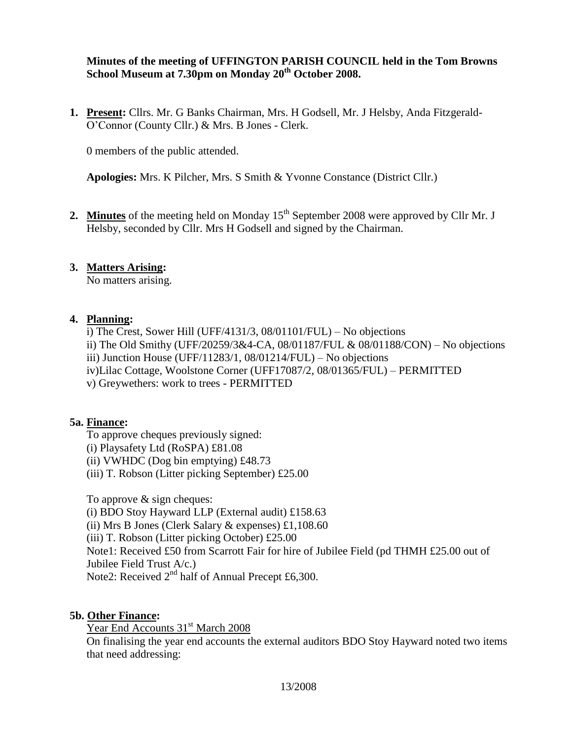#### **Minutes of the meeting of UFFINGTON PARISH COUNCIL held in the Tom Browns School Museum at 7.30pm on Monday 20th October 2008.**

**1. Present:** Cllrs. Mr. G Banks Chairman, Mrs. H Godsell, Mr. J Helsby, Anda Fitzgerald-O'Connor (County Cllr.) & Mrs. B Jones - Clerk.

0 members of the public attended.

**Apologies:** Mrs. K Pilcher, Mrs. S Smith & Yvonne Constance (District Cllr.)

2. Minutes of the meeting held on Monday 15<sup>th</sup> September 2008 were approved by Cllr Mr. J Helsby, seconded by Cllr. Mrs H Godsell and signed by the Chairman.

### **3. Matters Arising:**

No matters arising.

#### **4. Planning:**

i) The Crest, Sower Hill (UFF/4131/3, 08/01101/FUL) – No objections ii) The Old Smithy (UFF/20259/3&4-CA, 08/01187/FUL & 08/01188/CON) – No objections iii) Junction House (UFF/11283/1,  $08/01214/FUL$ ) – No objections iv)Lilac Cottage, Woolstone Corner (UFF17087/2, 08/01365/FUL) – PERMITTED v) Greywethers: work to trees - PERMITTED

### **5a. Finance:**

To approve cheques previously signed:

- (i) Playsafety Ltd (RoSPA) £81.08
- (ii) VWHDC (Dog bin emptying) £48.73
- (iii) T. Robson (Litter picking September) £25.00

To approve & sign cheques:

(i) BDO Stoy Hayward LLP (External audit) £158.63

(ii) Mrs B Jones (Clerk Salary & expenses) £1,108.60

(iii) T. Robson (Litter picking October) £25.00

Note1: Received £50 from Scarrott Fair for hire of Jubilee Field (pd THMH £25.00 out of

Jubilee Field Trust A/c.)

Note2: Received 2<sup>nd</sup> half of Annual Precept £6,300.

### **5b. Other Finance:**

Year End Accounts 31<sup>st</sup> March 2008

On finalising the year end accounts the external auditors BDO Stoy Hayward noted two items that need addressing: